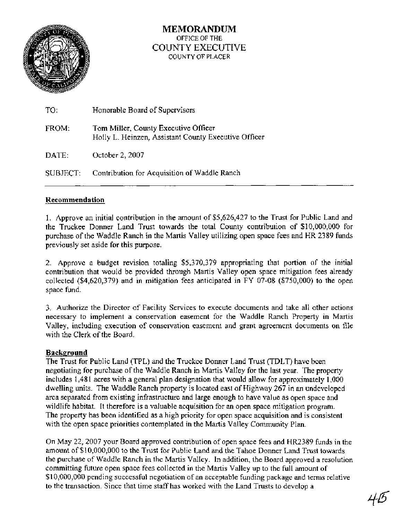

## **MEMORANDUM**  OFFICE OF THE COUNTY EXECUTIVE COUNTY OF PLACER

| TO:      | Honorable Board of Supervisors                                                               |
|----------|----------------------------------------------------------------------------------------------|
| FROM:    | Tom Miller, County Executive Officer<br>Holly L. Heinzen, Assistant County Executive Officer |
| DATE:    | October 2, 2007                                                                              |
| SUBJECT: | Contribution for Acquisition of Waddle Ranch                                                 |

### **Recommendation**

1, Approve an initial contribution in the amount of \$5,626,427 to the Trust for Public Land and the Truckee Donner Land Trust towards the total County contribution of \$10,000,000 for purchase of the Waddle Ranch in the Martis Valley utilizing open space fees and HR 2389 funds previously set aside for this purpose.

2. Approve a budget revision totaling \$5,370,379 appropriating that portion of the initial contribution that would be provided through Martis Valley open space mitigation fees already collected (\$4,620,379) and in mitigation fees anticipated in FY 07-08 (\$750,000) to the open space fund.

3. Authorize the Director of Facility Services to execute documents and take all other actions necessary to implement a conservation easement for the Waddle Ranch Property in Martis Valley, including execution of conservation easement and grant agreement documents on file with the Clerk of the Board.

### **Background**

The Trust for Public Land (TPL) and the Truckee Donner Land Trust (TDLT) have been negotiating for purchase of the Waddle Ranch in Martis Valley for the last year. The property includes 1,48 1 acres with a general plan designation that would allow for approximately 1,000 dwelling units. The Waddle Ranch property is located east of Highway 267 in an undeveloped area separated from existing infrastructure and large enough to have value as open space and wildlife habitat. It therefore is a valuable acquisition for an open space mitigation program. The property has been identified as a high priority for open space acquisition and is consistent with the open space priorities contemplated in the Martis Valley Community Plan.

On May 22,2007 your Board approved contribution of open space fees and HR2389 funds in the amount of \$10,000,000 to the Trust for Public Land and the Tahoe Donner Land Trust towards the purchase of Waddle Ranch in the Martis Valley. In addition, the Board approved a resolution committing future open space fees collected in the Martis Valley up to the full amount of \$10,000,000 pending successful negotiation of an acceptable funding package and terms relative to the transaction. Since that time staff has worked with the Land Trusts to develop a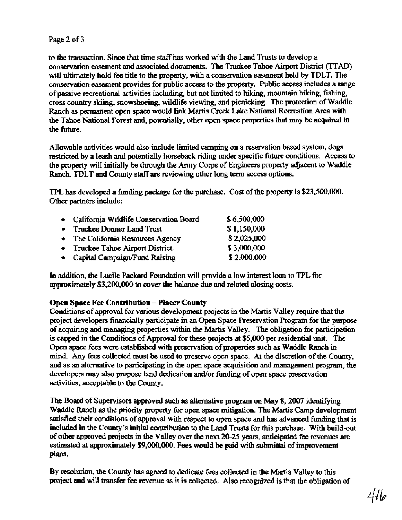to the transaction. Since that time **staff** has worked with the Land Trusts to develop a conservation easement and associated documents. The Truckee Tahoe Airport District **(TTAD)**  will ultimately hold fee title to the property, with a conservation easement held by TDLT. **The**  conservation easement provides for public access to the property. Public access includes a range of passive recreational activities including, but not limited to hiking, mountain biking, fishing, cross country skiing, snowshoeing, wildlife viewing, and picnicking. The protection of Waddle Ranch **as** permanent open space would link Martis Creek Lake National Recreation Area with the Tahoe National Forest **and,** potentially, other open space properties that may be acquired in the future.

Allowable activities would also include limited camping on a reservation based system, dogs restricted by a leash and potentially horseback riding under specific future conditions. Access to the property will initially be **through** the Army Corps of Engineers property adjacent to Waddle Ranch. TDLT and County **staff are** reviewing other long term access options.

**TPL** has developed a funding package for **the** purchase. Cost of the property is \$23,500,000. **Other** partners include:

| • California Wildlife Conservation Board | \$6,500,000 |
|------------------------------------------|-------------|
| • Truckee Donner Land Trust              | \$1,150,000 |
| • The California Resources Agency        | \$2,025,000 |
| • Truckee Tahoe Airport District.        | \$3,000,000 |
| • Capital Campaign/Fund Raising          | \$2,000,000 |

In addition, the Lucile Packard Foundation will provide a low interest loan to TPL for approximately \$3,200,000 to cover **the** balance due and related closing **costs.** 

# **Open Space Fee Contribution** - **Placer County**

Conditions of approval for various development projects in the Martis Valley require that the project developers financially participate in **an** Open Space Preservation Program for the purpose of acquiring and managing properties within the Martis Valley. The obligation for participation is capped in the Conditions of Approval for **these** projects at \$5,000 per residential unit. The Open space fees were established with preservation of properties such **as** Waddle Ranch in **mind.** Any fees collected must be used to preserve open space. At the discretion of the County, and **as** an alternative to participating in the open space acquisition and management program, the developers may also propose land dedication and/or funding of open space preservation activities, acceptable to the County.

The Board of Supervisors approved such as alternative program on May 8, 2007 identifying Waddle Ranch **as** the priority property for open space mitigation. The Martis Camp development **satisfied** their conditions of approval with respect to open space and has advanced **funding** that is **included** in the County's initial contribution to the Land Trusts for this purchase. With build-out of other approved projects in the Valley over the next 20-25 **years,** anticipated fee revenues are estimated at approximately **\$9,000,000. Fees** would be paid with submittal of improvement plans.

By resolution, the County has **agreed** to dedicate fees collected in the Martis Valley to this project and will transfer fee revenue as it is collected. Also recognized is that the obligation of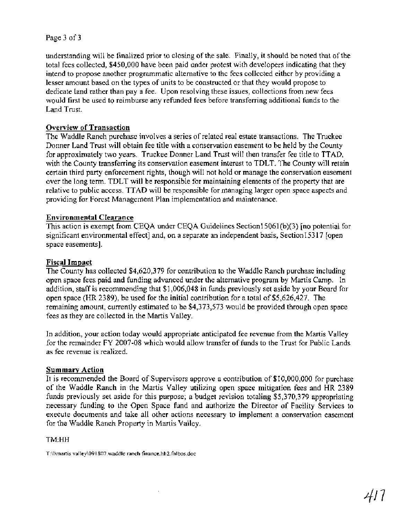## Page 3 of 3

understanding will be finalized prior to closing of the sale. Finally, it should be noted that of the total fees collected, \$450,000 have been paid under protest with developers indicating that they intend to propose another programmatic alternative to the fees collected either by providing a lesser amount based on the types of units to be constructed or that they would propose to dedicate land rather than pay a fee. Upon resolving these issues, collections from new fees would first be used to reimburse any refunded fees before transferring additional funds to the Land Trust.

## **Overview of Transaction**

The Waddle Ranch purchase involves a series of related real estate transactions. The Truckee Donner Land Trust will obtain fee title with a conservation easement to be held by the County for approximately two years. Truckee Donner Land Trust will then transfer fee title to TTAD, with the County transferring its conservation easement interest to TDLT. The County will retain certain third party enforcement rights, though will not hold or manage the conservation easement over the long term. TDLT will be responsible for maintaining elements of the property that are relative to public access. TTAD will be responsible for managing larger open space aspects and providing for Forest Management Plan implementation and maintenance.

### **Environmental Clearance**

This action is exempt from CEQA under CEQA Guidelines Section1 5061 (b)(3) [no potential for significant environmental effect] and, on a separate an independent basis, Section15317 [open space easements].

### **Fiscal Impact**

The County has collected \$4,620,379 for contribution to the Waddle Ranch purchase including open space fees paid and funding advanced under the alternative program by Martis Camp. In addition, staff is recommending that \$1,006,048 in funds previously set aside by your Board for open space (HR 2389), be used for the initial contribution for a total of \$5,626,427. The remaining amount, currently estimated to be \$4,373,573 would be provided through open space fees as they are collected in the Martis Valley.

In addition, your action today would appropriate anticipated fee revenue fiom the Martis Valley for the remainder FY 2007-08 which would allow transfer of funds to the Trust for Public Lands as fee revenue is realized.

### **Summary Action**

It is recommended the Board of Supervisors approve a contribution of \$10,000,000 for purchase of the Waddle Ranch in the Martis Valley utilizing open space mitigation fees and HR 2389 funds previously set aside for this purpose; a budget revision totaling \$5,370,379 appropriating necessary funding to the Open Space fund and authorize the Director of Facility Services to execute documents and take all other actions necessary to implement a conservation easement for the Waddle Ranch Property in Martis Valley.

#### TM:HH

T:\l\rnartis valley\09 1807.waddle ranch finance.hh2.fnlbos.doc